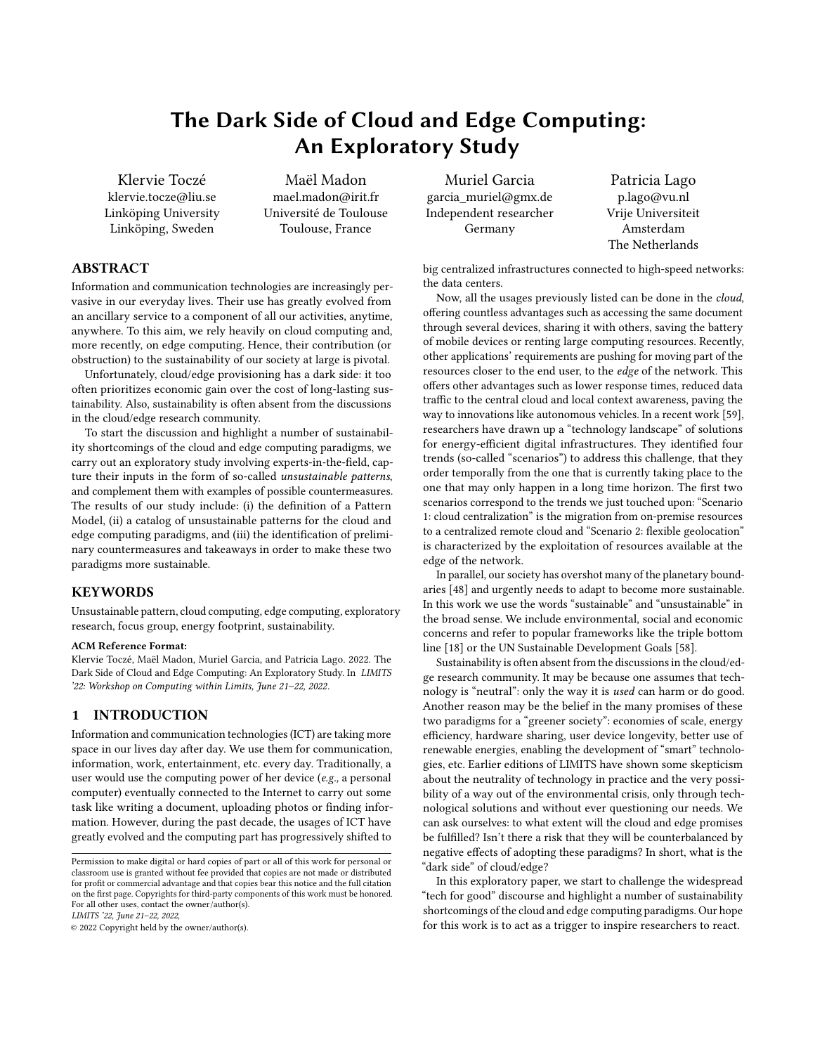# The Dark Side of Cloud and Edge Computing: An Exploratory Study

[Klervie Toczé](https://orcid.org/0000-0002-7300-3603) klervie.tocze@liu.se Linköping University Linköping, Sweden

[Maël Madon](https://orcid.org/0000-0001-9476-4682) mael.madon@irit.fr Université de Toulouse Toulouse, France

[Muriel Garcia](https://orcid.org/) garcia\_muriel@gmx.de Independent researcher Germany

[Patricia Lago](https://orcid.org/0000-0002-2234-0845) p.lago@vu.nl Vrije Universiteit Amsterdam The Netherlands

big centralized infrastructures connected to high-speed networks: the data centers.

Now, all the usages previously listed can be done in the cloud, offering countless advantages such as accessing the same document through several devices, sharing it with others, saving the battery of mobile devices or renting large computing resources. Recently, other applications' requirements are pushing for moving part of the resources closer to the end user, to the edge of the network. This offers other advantages such as lower response times, reduced data traffic to the central cloud and local context awareness, paving the way to innovations like autonomous vehicles. In a recent work [\[59\]](#page-11-0), researchers have drawn up a "technology landscape" of solutions for energy-efficient digital infrastructures. They identified four trends (so-called "scenarios") to address this challenge, that they order temporally from the one that is currently taking place to the one that may only happen in a long time horizon. The first two scenarios correspond to the trends we just touched upon: "Scenario 1: cloud centralization" is the migration from on-premise resources to a centralized remote cloud and "Scenario 2: flexible geolocation" is characterized by the exploitation of resources available at the edge of the network.

In parallel, our society has overshot many of the planetary boundaries [\[48\]](#page-10-0) and urgently needs to adapt to become more sustainable. In this work we use the words "sustainable" and "unsustainable" in the broad sense. We include environmental, social and economic concerns and refer to popular frameworks like the triple bottom line [\[18\]](#page-10-1) or the UN Sustainable Development Goals [\[58\]](#page-11-1).

Sustainability is often absent from the discussions in the cloud/edge research community. It may be because one assumes that technology is "neutral": only the way it is used can harm or do good. Another reason may be the belief in the many promises of these two paradigms for a "greener society": economies of scale, energy efficiency, hardware sharing, user device longevity, better use of renewable energies, enabling the development of "smart" technologies, etc. Earlier editions of LIMITS have shown some skepticism about the neutrality of technology in practice and the very possibility of a way out of the environmental crisis, only through technological solutions and without ever questioning our needs. We can ask ourselves: to what extent will the cloud and edge promises be fulfilled? Isn't there a risk that they will be counterbalanced by negative effects of adopting these paradigms? In short, what is the "dark side" of cloud/edge?

In this exploratory paper, we start to challenge the widespread "tech for good" discourse and highlight a number of sustainability shortcomings of the cloud and edge computing paradigms. Our hope for this work is to act as a trigger to inspire researchers to react.

# ABSTRACT

Information and communication technologies are increasingly pervasive in our everyday lives. Their use has greatly evolved from an ancillary service to a component of all our activities, anytime, anywhere. To this aim, we rely heavily on cloud computing and, more recently, on edge computing. Hence, their contribution (or obstruction) to the sustainability of our society at large is pivotal.

Unfortunately, cloud/edge provisioning has a dark side: it too often prioritizes economic gain over the cost of long-lasting sustainability. Also, sustainability is often absent from the discussions in the cloud/edge research community.

To start the discussion and highlight a number of sustainability shortcomings of the cloud and edge computing paradigms, we carry out an exploratory study involving experts-in-the-field, capture their inputs in the form of so-called unsustainable patterns, and complement them with examples of possible countermeasures. The results of our study include: (i) the definition of a Pattern Model, (ii) a catalog of unsustainable patterns for the cloud and edge computing paradigms, and (iii) the identification of preliminary countermeasures and takeaways in order to make these two paradigms more sustainable.

# KEYWORDS

Unsustainable pattern, cloud computing, edge computing, exploratory research, focus group, energy footprint, sustainability.

#### ACM Reference Format:

Klervie Toczé, Maël Madon, Muriel Garcia, and Patricia Lago. 2022. The Dark Side of Cloud and Edge Computing: An Exploratory Study. In LIMITS '22: Workshop on Computing within Limits, June 21–22, 2022.

# 1 INTRODUCTION

Information and communication technologies (ICT) are taking more space in our lives day after day. We use them for communication, information, work, entertainment, etc. every day. Traditionally, a user would use the computing power of her device (e.g., a personal computer) eventually connected to the Internet to carry out some task like writing a document, uploading photos or finding information. However, during the past decade, the usages of ICT have greatly evolved and the computing part has progressively shifted to

LIMITS '22, June 21–22, 2022,

© 2022 Copyright held by the owner/author(s).

Permission to make digital or hard copies of part or all of this work for personal or classroom use is granted without fee provided that copies are not made or distributed for profit or commercial advantage and that copies bear this notice and the full citation on the first page. Copyrights for third-party components of this work must be honored. For all other uses, contact the owner/author(s).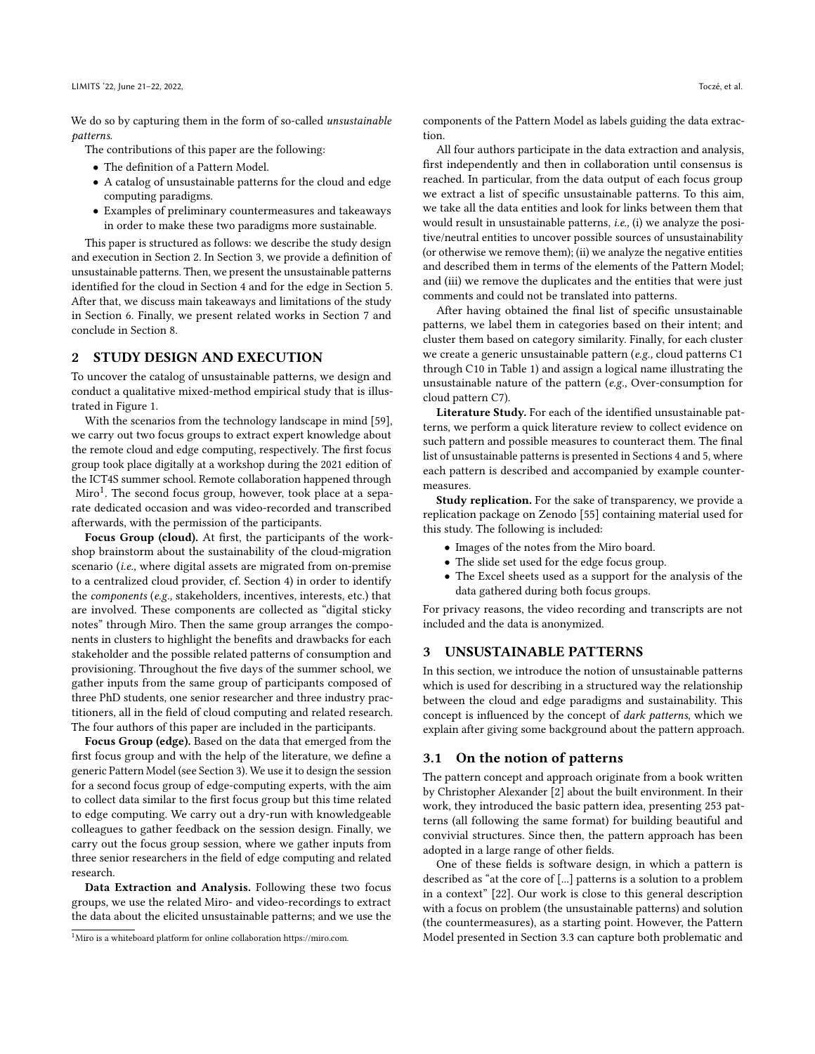We do so by capturing them in the form of so-called unsustainable patterns.

The contributions of this paper are the following:

- The definition of a Pattern Model.
- A catalog of unsustainable patterns for the cloud and edge computing paradigms.
- Examples of preliminary countermeasures and takeaways in order to make these two paradigms more sustainable.

This paper is structured as follows: we describe the study design and execution in Section [2.](#page-1-0) In Section [3,](#page-1-1) we provide a definition of unsustainable patterns. Then, we present the unsustainable patterns identified for the cloud in Section [4](#page-3-0) and for the edge in Section [5.](#page-5-0) After that, we discuss main takeaways and limitations of the study in Section [6.](#page-7-0) Finally, we present related works in Section [7](#page-9-0) and conclude in Section [8.](#page-9-1)

# <span id="page-1-0"></span>2 STUDY DESIGN AND EXECUTION

To uncover the catalog of unsustainable patterns, we design and conduct a qualitative mixed-method empirical study that is illustrated in Figure [1.](#page-2-0)

With the scenarios from the technology landscape in mind [\[59\]](#page-11-0), we carry out two focus groups to extract expert knowledge about the remote cloud and edge computing, respectively. The first focus group took place digitally at a workshop during the 2021 edition of the ICT4S summer school. Remote collaboration happened through Miro<sup>[1](#page-1-2)</sup>. The second focus group, however, took place at a separate dedicated occasion and was video-recorded and transcribed afterwards, with the permission of the participants.

Focus Group (cloud). At first, the participants of the workshop brainstorm about the sustainability of the cloud-migration scenario (i.e., where digital assets are migrated from on-premise to a centralized cloud provider, cf. Section [4\)](#page-3-0) in order to identify the components (e.g., stakeholders, incentives, interests, etc.) that are involved. These components are collected as "digital sticky notes" through Miro. Then the same group arranges the components in clusters to highlight the benefits and drawbacks for each stakeholder and the possible related patterns of consumption and provisioning. Throughout the five days of the summer school, we gather inputs from the same group of participants composed of three PhD students, one senior researcher and three industry practitioners, all in the field of cloud computing and related research. The four authors of this paper are included in the participants.

Focus Group (edge). Based on the data that emerged from the first focus group and with the help of the literature, we define a generic Pattern Model (see Section [3\)](#page-1-1). We use it to design the session for a second focus group of edge-computing experts, with the aim to collect data similar to the first focus group but this time related to edge computing. We carry out a dry-run with knowledgeable colleagues to gather feedback on the session design. Finally, we carry out the focus group session, where we gather inputs from three senior researchers in the field of edge computing and related research.

Data Extraction and Analysis. Following these two focus groups, we use the related Miro- and video-recordings to extract the data about the elicited unsustainable patterns; and we use the components of the Pattern Model as labels guiding the data extraction.

All four authors participate in the data extraction and analysis, first independently and then in collaboration until consensus is reached. In particular, from the data output of each focus group we extract a list of specific unsustainable patterns. To this aim, we take all the data entities and look for links between them that would result in unsustainable patterns, i.e., (i) we analyze the positive/neutral entities to uncover possible sources of unsustainability (or otherwise we remove them); (ii) we analyze the negative entities and described them in terms of the elements of the Pattern Model; and (iii) we remove the duplicates and the entities that were just comments and could not be translated into patterns.

After having obtained the final list of specific unsustainable patterns, we label them in categories based on their intent; and cluster them based on category similarity. Finally, for each cluster we create a generic unsustainable pattern (e.g., cloud patterns C1 through C10 in Table [1\)](#page-4-0) and assign a logical name illustrating the unsustainable nature of the pattern (e.g., Over-consumption for cloud pattern C7).

Literature Study. For each of the identified unsustainable patterns, we perform a quick literature review to collect evidence on such pattern and possible measures to counteract them. The final list of unsustainable patterns is presented in Sections [4](#page-3-0) and [5,](#page-5-0) where each pattern is described and accompanied by example countermeasures.

Study replication. For the sake of transparency, we provide a replication package on Zenodo [\[55\]](#page-11-2) containing material used for this study. The following is included:

- Images of the notes from the Miro board.
- The slide set used for the edge focus group.
- The Excel sheets used as a support for the analysis of the data gathered during both focus groups.

For privacy reasons, the video recording and transcripts are not included and the data is anonymized.

#### <span id="page-1-1"></span>3 UNSUSTAINABLE PATTERNS

In this section, we introduce the notion of unsustainable patterns which is used for describing in a structured way the relationship between the cloud and edge paradigms and sustainability. This concept is influenced by the concept of dark patterns, which we explain after giving some background about the pattern approach.

#### 3.1 On the notion of patterns

The pattern concept and approach originate from a book written by Christopher Alexander [\[2\]](#page-9-2) about the built environment. In their work, they introduced the basic pattern idea, presenting 253 patterns (all following the same format) for building beautiful and convivial structures. Since then, the pattern approach has been adopted in a large range of other fields.

One of these fields is software design, in which a pattern is described as "at the core of [...] patterns is a solution to a problem in a context" [\[22\]](#page-10-2). Our work is close to this general description with a focus on problem (the unsustainable patterns) and solution (the countermeasures), as a starting point. However, the Pattern Model presented in Section [3.3](#page-2-1) can capture both problematic and

<span id="page-1-2"></span><sup>1</sup>Miro is a whiteboard platform for online collaboration [https://miro.com.](https://miro.com)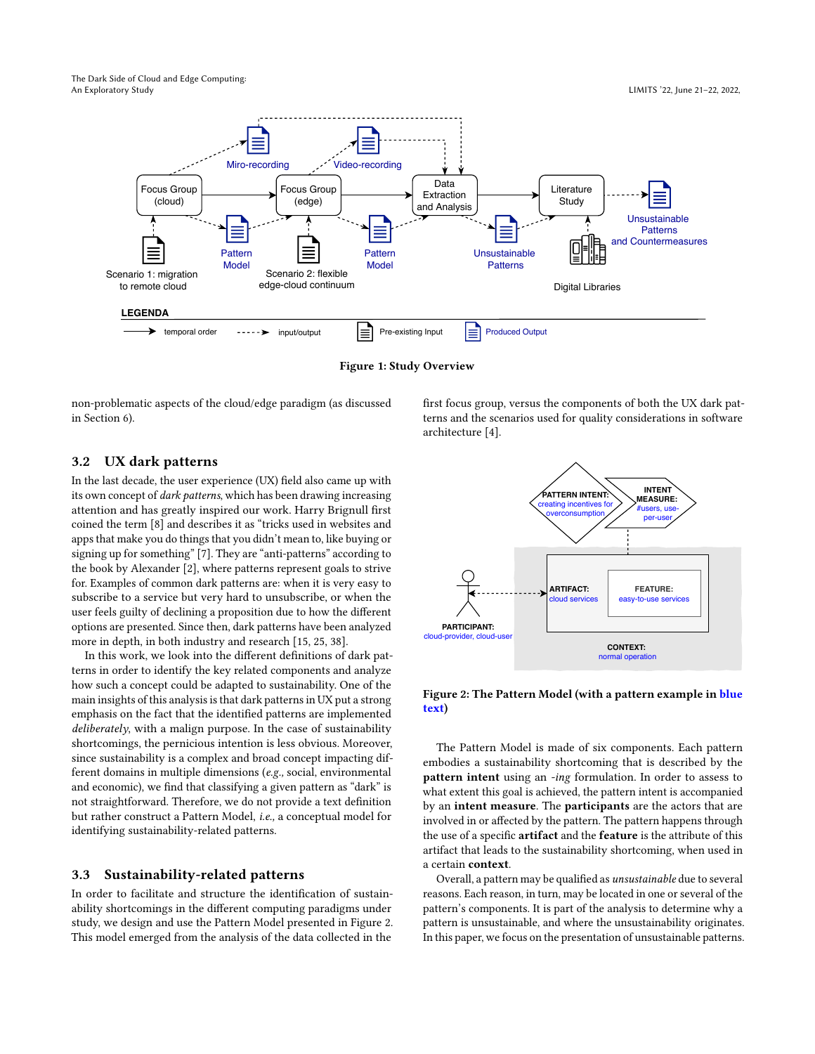<span id="page-2-0"></span>The Dark Side of Cloud and Edge Computing: An Exploratory Study LIMITS '22, June 21–22, 2022,



Figure 1: Study Overview

non-problematic aspects of the cloud/edge paradigm (as discussed in Section [6\)](#page-7-0).

first focus group, versus the components of both the UX dark patterns and the scenarios used for quality considerations in software architecture [\[4\]](#page-9-3).

# <span id="page-2-3"></span>3.2 UX dark patterns

In the last decade, the user experience (UX) field also came up with its own concept of dark patterns, which has been drawing increasing attention and has greatly inspired our work. Harry Brignull first coined the term [\[8\]](#page-10-3) and describes it as "tricks used in websites and apps that make you do things that you didn't mean to, like buying or signing up for something" [\[7\]](#page-10-4). They are "anti-patterns" according to the book by Alexander [\[2\]](#page-9-2), where patterns represent goals to strive for. Examples of common dark patterns are: when it is very easy to subscribe to a service but very hard to unsubscribe, or when the user feels guilty of declining a proposition due to how the different options are presented. Since then, dark patterns have been analyzed more in depth, in both industry and research [\[15,](#page-10-5) [25,](#page-10-6) [38\]](#page-10-7).

In this work, we look into the different definitions of dark patterns in order to identify the key related components and analyze how such a concept could be adapted to sustainability. One of the main insights of this analysis is that dark patterns in UX put a strong emphasis on the fact that the identified patterns are implemented deliberately, with a malign purpose. In the case of sustainability shortcomings, the pernicious intention is less obvious. Moreover, since sustainability is a complex and broad concept impacting different domains in multiple dimensions (e.g., social, environmental and economic), we find that classifying a given pattern as "dark" is not straightforward. Therefore, we do not provide a text definition but rather construct a Pattern Model, i.e., a conceptual model for identifying sustainability-related patterns.

#### <span id="page-2-1"></span>3.3 Sustainability-related patterns

In order to facilitate and structure the identification of sustainability shortcomings in the different computing paradigms under study, we design and use the Pattern Model presented in Figure [2.](#page-2-2) This model emerged from the analysis of the data collected in the

<span id="page-2-2"></span>

## Figure 2: The Pattern Model (with a pattern example in blue text)

The Pattern Model is made of six components. Each pattern embodies a sustainability shortcoming that is described by the pattern intent using an -ing formulation. In order to assess to what extent this goal is achieved, the pattern intent is accompanied by an intent measure. The participants are the actors that are involved in or affected by the pattern. The pattern happens through the use of a specific artifact and the feature is the attribute of this artifact that leads to the sustainability shortcoming, when used in a certain context.

Overall, a pattern may be qualified as unsustainable due to several reasons. Each reason, in turn, may be located in one or several of the pattern's components. It is part of the analysis to determine why a pattern is unsustainable, and where the unsustainability originates. In this paper, we focus on the presentation of unsustainable patterns.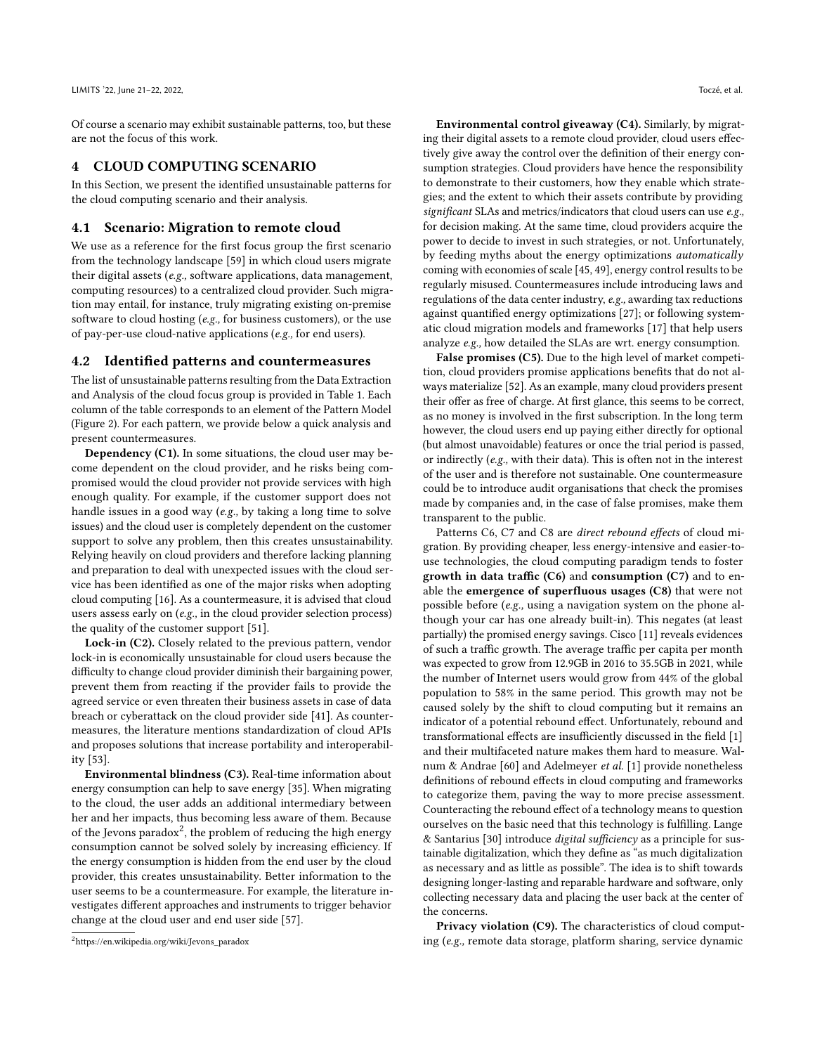Of course a scenario may exhibit sustainable patterns, too, but these are not the focus of this work.

#### <span id="page-3-0"></span>4 CLOUD COMPUTING SCENARIO

In this Section, we present the identified unsustainable patterns for the cloud computing scenario and their analysis.

#### 4.1 Scenario: Migration to remote cloud

We use as a reference for the first focus group the first scenario from the technology landscape [\[59\]](#page-11-0) in which cloud users migrate their digital assets (e.g., software applications, data management, computing resources) to a centralized cloud provider. Such migration may entail, for instance, truly migrating existing on-premise software to cloud hosting (e.g., for business customers), or the use of pay-per-use cloud-native applications (e.g., for end users).

#### 4.2 Identified patterns and countermeasures

The list of unsustainable patterns resulting from the Data Extraction and Analysis of the cloud focus group is provided in Table [1.](#page-4-0) Each column of the table corresponds to an element of the Pattern Model (Figure [2\)](#page-2-2). For each pattern, we provide below a quick analysis and present countermeasures.

Dependency (C1). In some situations, the cloud user may become dependent on the cloud provider, and he risks being compromised would the cloud provider not provide services with high enough quality. For example, if the customer support does not handle issues in a good way (e.g., by taking a long time to solve issues) and the cloud user is completely dependent on the customer support to solve any problem, then this creates unsustainability. Relying heavily on cloud providers and therefore lacking planning and preparation to deal with unexpected issues with the cloud service has been identified as one of the major risks when adopting cloud computing [\[16\]](#page-10-8). As a countermeasure, it is advised that cloud users assess early on (e.g., in the cloud provider selection process) the quality of the customer support [\[51\]](#page-10-9).

Lock-in (C2). Closely related to the previous pattern, vendor lock-in is economically unsustainable for cloud users because the difficulty to change cloud provider diminish their bargaining power, prevent them from reacting if the provider fails to provide the agreed service or even threaten their business assets in case of data breach or cyberattack on the cloud provider side [\[41\]](#page-10-10). As countermeasures, the literature mentions standardization of cloud APIs and proposes solutions that increase portability and interoperability [\[53\]](#page-10-11).

Environmental blindness (C3). Real-time information about energy consumption can help to save energy [\[35\]](#page-10-12). When migrating to the cloud, the user adds an additional intermediary between her and her impacts, thus becoming less aware of them. Because of the Jevons paradox $^2$  $^2$ , the problem of reducing the high energy consumption cannot be solved solely by increasing efficiency. If the energy consumption is hidden from the end user by the cloud provider, this creates unsustainability. Better information to the user seems to be a countermeasure. For example, the literature investigates different approaches and instruments to trigger behavior change at the cloud user and end user side [\[57\]](#page-11-3).

Environmental control giveaway (C4). Similarly, by migrating their digital assets to a remote cloud provider, cloud users effectively give away the control over the definition of their energy consumption strategies. Cloud providers have hence the responsibility to demonstrate to their customers, how they enable which strategies; and the extent to which their assets contribute by providing significant SLAs and metrics/indicators that cloud users can use e.g., for decision making. At the same time, cloud providers acquire the power to decide to invest in such strategies, or not. Unfortunately, by feeding myths about the energy optimizations automatically coming with economies of scale [\[45,](#page-10-13) [49\]](#page-10-14), energy control results to be regularly misused. Countermeasures include introducing laws and regulations of the data center industry, e.g., awarding tax reductions against quantified energy optimizations [\[27\]](#page-10-15); or following systematic cloud migration models and frameworks [\[17\]](#page-10-16) that help users analyze e.g., how detailed the SLAs are wrt. energy consumption.

False promises (C5). Due to the high level of market competition, cloud providers promise applications benefits that do not always materialize [\[52\]](#page-10-17). As an example, many cloud providers present their offer as free of charge. At first glance, this seems to be correct, as no money is involved in the first subscription. In the long term however, the cloud users end up paying either directly for optional (but almost unavoidable) features or once the trial period is passed, or indirectly (e.g., with their data). This is often not in the interest of the user and is therefore not sustainable. One countermeasure could be to introduce audit organisations that check the promises made by companies and, in the case of false promises, make them transparent to the public.

Patterns C6, C7 and C8 are direct rebound effects of cloud migration. By providing cheaper, less energy-intensive and easier-touse technologies, the cloud computing paradigm tends to foster growth in data traffic  $(C6)$  and consumption  $(C7)$  and to enable the emergence of superfluous usages (C8) that were not possible before (e.g., using a navigation system on the phone although your car has one already built-in). This negates (at least partially) the promised energy savings. Cisco [\[11\]](#page-10-18) reveals evidences of such a traffic growth. The average traffic per capita per month was expected to grow from 12.9GB in 2016 to 35.5GB in 2021, while the number of Internet users would grow from 44% of the global population to 58% in the same period. This growth may not be caused solely by the shift to cloud computing but it remains an indicator of a potential rebound effect. Unfortunately, rebound and transformational effects are insufficiently discussed in the field [\[1\]](#page-9-4) and their multifaceted nature makes them hard to measure. Walnum & Andrae [\[60\]](#page-11-4) and Adelmeyer et al. [\[1\]](#page-9-4) provide nonetheless definitions of rebound effects in cloud computing and frameworks to categorize them, paving the way to more precise assessment. Counteracting the rebound effect of a technology means to question ourselves on the basic need that this technology is fulfilling. Lange & Santarius [\[30\]](#page-10-19) introduce digital sufficiency as a principle for sustainable digitalization, which they define as "as much digitalization as necessary and as little as possible". The idea is to shift towards designing longer-lasting and reparable hardware and software, only collecting necessary data and placing the user back at the center of the concerns.

Privacy violation (C9). The characteristics of cloud computing (e.g., remote data storage, platform sharing, service dynamic

<span id="page-3-1"></span><sup>2</sup>[https://en.wikipedia.org/wiki/Jevons\\_paradox](https://en.wikipedia.org/wiki/Jevons_paradox)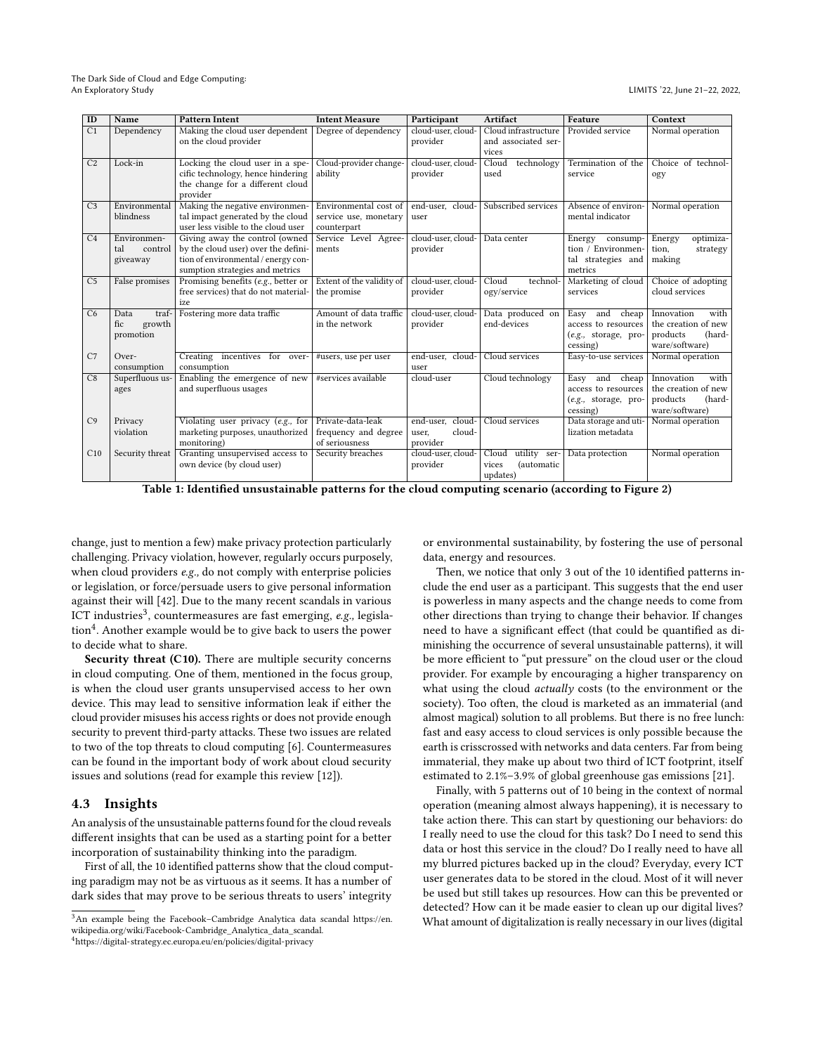<span id="page-4-0"></span>

| ID             | Name                                        | <b>Pattern Intent</b>                                                                                                                           | <b>Intent Measure</b>                                         | Participant                                        | Artifact                                                 | Feature                                                                         | Context                                                                           |
|----------------|---------------------------------------------|-------------------------------------------------------------------------------------------------------------------------------------------------|---------------------------------------------------------------|----------------------------------------------------|----------------------------------------------------------|---------------------------------------------------------------------------------|-----------------------------------------------------------------------------------|
| C <sub>1</sub> | Dependency                                  | Making the cloud user dependent<br>on the cloud provider                                                                                        | Degree of dependency                                          | cloud-user, cloud-<br>provider                     | Cloud infrastructure<br>and associated ser-<br>vices     | Provided service                                                                | Normal operation                                                                  |
| C <sub>2</sub> | Lock-in                                     | Locking the cloud user in a spe-<br>cific technology, hence hindering<br>the change for a different cloud<br>provider                           | Cloud-provider change-<br>ability                             | cloud-user, cloud-<br>provider                     | technology<br>Cloud<br>used                              | Termination of the<br>service                                                   | Choice of technol-<br>ogy                                                         |
| C <sub>3</sub> | Environmental<br>blindness                  | Making the negative environmen-<br>tal impact generated by the cloud<br>user less visible to the cloud user                                     | Environmental cost of<br>service use, monetary<br>counterpart | end-user, cloud-<br>user                           | Subscribed services                                      | Absence of environ-<br>mental indicator                                         | Normal operation                                                                  |
| C <sub>4</sub> | Environmen-<br>tal<br>control<br>giveaway   | Giving away the control (owned<br>by the cloud user) over the defini-<br>tion of environmental / energy con-<br>sumption strategies and metrics | Service Level Agree-<br>ments                                 | cloud-user, cloud-<br>provider                     | Data center                                              | Energy consump-<br>tion / Environmen-<br>tal strategies and<br>metrics          | optimiza-<br>Energy<br>tion,<br>strategy<br>making                                |
| C <sub>5</sub> | False promises                              | Promising benefits $(e.g.,)$ better or<br>free services) that do not material-<br>ize                                                           | Extent of the validity of<br>the promise                      | cloud-user, cloud-<br>provider                     | Cloud<br>technol-<br>ogy/service                         | Marketing of cloud<br>services                                                  | Choice of adopting<br>cloud services                                              |
| C6             | traf-<br>Data<br>fic<br>growth<br>promotion | Fostering more data traffic                                                                                                                     | Amount of data traffic<br>in the network                      | cloud-user, cloud-<br>provider                     | Data produced on<br>end-devices                          | Easy<br>and<br>cheap<br>access to resources<br>(e.g., storage, pro-<br>cessing) | with<br>Innovation<br>the creation of new<br>products<br>(hard-<br>ware/software) |
| C7             | Over-<br>consumption                        | Creating incentives for<br>over-<br>consumption                                                                                                 | #users, use per user                                          | end-user. cloud-<br>user                           | Cloud services                                           | Easy-to-use services                                                            | Normal operation                                                                  |
| C8             | Superfluous us-<br>ages                     | Enabling the emergence of new<br>and superfluous usages                                                                                         | #services available                                           | cloud-user                                         | Cloud technology                                         | Easy<br>and<br>cheap<br>access to resources<br>(e.g., storage, pro-<br>cessing) | Innovation<br>with<br>the creation of new<br>products<br>(hard-<br>ware/software) |
| C <sub>9</sub> | Privacy<br>violation                        | Violating user privacy (e.g., for<br>marketing purposes, unauthorized<br>monitoring)                                                            | Private-data-leak<br>frequency and degree<br>of seriousness   | end-user.<br>cloud-<br>cloud-<br>user,<br>provider | Cloud services                                           | Data storage and uti-<br>lization metadata                                      | Normal operation                                                                  |
| C10            | Security threat                             | Granting unsupervised access to<br>own device (by cloud user)                                                                                   | Security breaches                                             | cloud-user, cloud-<br>provider                     | Cloud<br>utility ser-<br>(automatic<br>vices<br>updates) | Data protection                                                                 | Normal operation                                                                  |

Table 1: Identified unsustainable patterns for the cloud computing scenario (according to Figure [2\)](#page-2-2)

change, just to mention a few) make privacy protection particularly challenging. Privacy violation, however, regularly occurs purposely, when cloud providers e.g., do not comply with enterprise policies or legislation, or force/persuade users to give personal information against their will [\[42\]](#page-10-20). Due to the many recent scandals in various ICT industries<sup>[3](#page-4-1)</sup>, countermeasures are fast emerging, e.g., legisla-tion<sup>[4](#page-4-2)</sup>. Another example would be to give back to users the power to decide what to share.

Security threat (C10). There are multiple security concerns in cloud computing. One of them, mentioned in the focus group, is when the cloud user grants unsupervised access to her own device. This may lead to sensitive information leak if either the cloud provider misuses his access rights or does not provide enough security to prevent third-party attacks. These two issues are related to two of the top threats to cloud computing [\[6\]](#page-10-21). Countermeasures can be found in the important body of work about cloud security issues and solutions (read for example this review [\[12\]](#page-10-22)).

## 4.3 Insights

An analysis of the unsustainable patterns found for the cloud reveals different insights that can be used as a starting point for a better incorporation of sustainability thinking into the paradigm.

First of all, the 10 identified patterns show that the cloud computing paradigm may not be as virtuous as it seems. It has a number of dark sides that may prove to be serious threats to users' integrity

or environmental sustainability, by fostering the use of personal data, energy and resources.

Then, we notice that only 3 out of the 10 identified patterns include the end user as a participant. This suggests that the end user is powerless in many aspects and the change needs to come from other directions than trying to change their behavior. If changes need to have a significant effect (that could be quantified as diminishing the occurrence of several unsustainable patterns), it will be more efficient to "put pressure" on the cloud user or the cloud provider. For example by encouraging a higher transparency on what using the cloud *actually* costs (to the environment or the society). Too often, the cloud is marketed as an immaterial (and almost magical) solution to all problems. But there is no free lunch: fast and easy access to cloud services is only possible because the earth is crisscrossed with networks and data centers. Far from being immaterial, they make up about two third of ICT footprint, itself estimated to 2.1%–3.9% of global greenhouse gas emissions [\[21\]](#page-10-23).

Finally, with 5 patterns out of 10 being in the context of normal operation (meaning almost always happening), it is necessary to take action there. This can start by questioning our behaviors: do I really need to use the cloud for this task? Do I need to send this data or host this service in the cloud? Do I really need to have all my blurred pictures backed up in the cloud? Everyday, every ICT user generates data to be stored in the cloud. Most of it will never be used but still takes up resources. How can this be prevented or detected? How can it be made easier to clean up our digital lives? What amount of digitalization is really necessary in our lives (digital

<span id="page-4-2"></span><span id="page-4-1"></span> $3$ An example being the Facebook–Cambridge Analytica data scandal [https://en.](https://en.wikipedia.org/wiki/Facebook-Cambridge_Analytica_data_scandal) [wikipedia.org/wiki/Facebook-Cambridge\\_Analytica\\_data\\_scandal.](https://en.wikipedia.org/wiki/Facebook-Cambridge_Analytica_data_scandal) <sup>4</sup><https://digital-strategy.ec.europa.eu/en/policies/digital-privacy>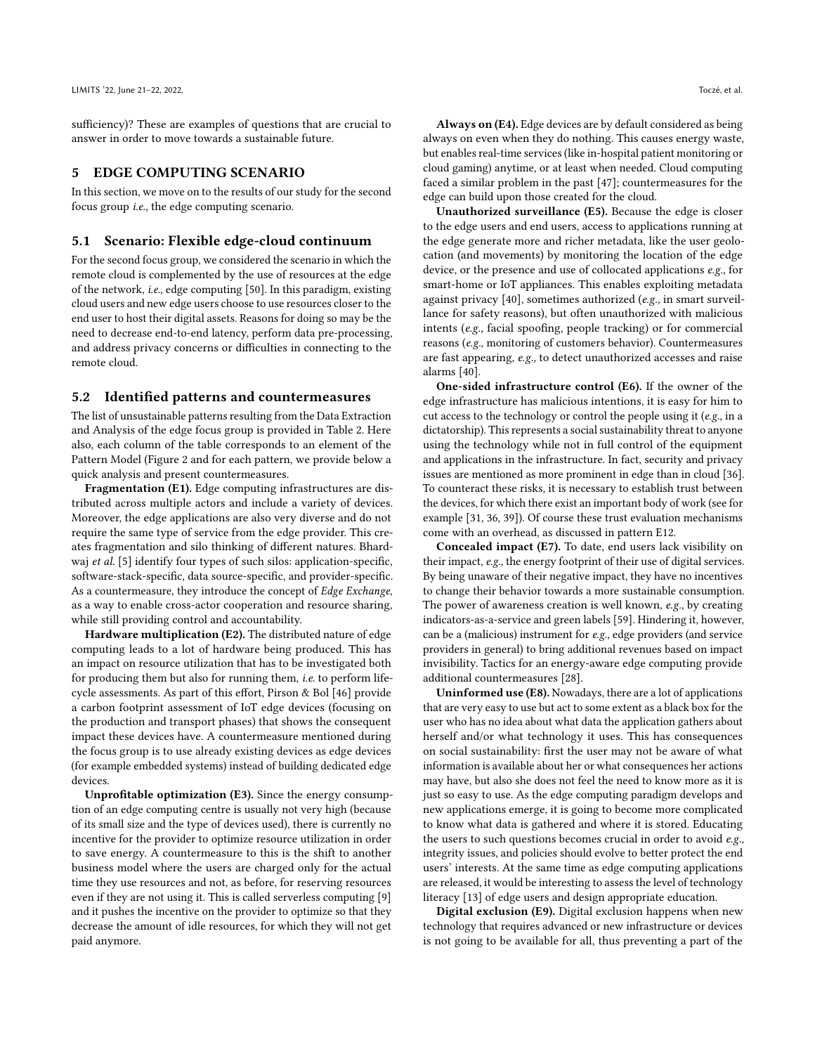sufficiency)? These are examples of questions that are crucial to answer in order to move towards a sustainable future.

#### <span id="page-5-0"></span>5 EDGE COMPUTING SCENARIO

In this section, we move on to the results of our study for the second focus group i.e., the edge computing scenario.

#### 5.1 Scenario: Flexible edge-cloud continuum

For the second focus group, we considered the scenario in which the remote cloud is complemented by the use of resources at the edge of the network, i.e., edge computing [\[50\]](#page-10-24). In this paradigm, existing cloud users and new edge users choose to use resources closer to the end user to host their digital assets. Reasons for doing so may be the need to decrease end-to-end latency, perform data pre-processing, and address privacy concerns or difficulties in connecting to the remote cloud.

#### 5.2 Identified patterns and countermeasures

The list of unsustainable patterns resulting from the Data Extraction and Analysis of the edge focus group is provided in Table [2.](#page-6-0) Here also, each column of the table corresponds to an element of the Pattern Model (Figure [2](#page-2-2) and for each pattern, we provide below a quick analysis and present countermeasures.

Fragmentation (E1). Edge computing infrastructures are distributed across multiple actors and include a variety of devices. Moreover, the edge applications are also very diverse and do not require the same type of service from the edge provider. This creates fragmentation and silo thinking of different natures. Bhard-waj et al. [\[5\]](#page-10-25) identify four types of such silos: application-specific, software-stack-specific, data source-specific, and provider-specific. As a countermeasure, they introduce the concept of Edge Exchange, as a way to enable cross-actor cooperation and resource sharing, while still providing control and accountability.

Hardware multiplication (E2). The distributed nature of edge computing leads to a lot of hardware being produced. This has an impact on resource utilization that has to be investigated both for producing them but also for running them, i.e. to perform lifecycle assessments. As part of this effort, Pirson & Bol [\[46\]](#page-10-26) provide a carbon footprint assessment of IoT edge devices (focusing on the production and transport phases) that shows the consequent impact these devices have. A countermeasure mentioned during the focus group is to use already existing devices as edge devices (for example embedded systems) instead of building dedicated edge devices.

Unprofitable optimization (E3). Since the energy consumption of an edge computing centre is usually not very high (because of its small size and the type of devices used), there is currently no incentive for the provider to optimize resource utilization in order to save energy. A countermeasure to this is the shift to another business model where the users are charged only for the actual time they use resources and not, as before, for reserving resources even if they are not using it. This is called serverless computing [\[9\]](#page-10-27) and it pushes the incentive on the provider to optimize so that they decrease the amount of idle resources, for which they will not get paid anymore.

Always on (E4). Edge devices are by default considered as being always on even when they do nothing. This causes energy waste, but enables real-time services (like in-hospital patient monitoring or cloud gaming) anytime, or at least when needed. Cloud computing faced a similar problem in the past [\[47\]](#page-10-28); countermeasures for the edge can build upon those created for the cloud.

Unauthorized surveillance (E5). Because the edge is closer to the edge users and end users, access to applications running at the edge generate more and richer metadata, like the user geolocation (and movements) by monitoring the location of the edge device, or the presence and use of collocated applications e.g., for smart-home or IoT appliances. This enables exploiting metadata against privacy [\[40\]](#page-10-29), sometimes authorized (e.g., in smart surveillance for safety reasons), but often unauthorized with malicious intents (e.g., facial spoofing, people tracking) or for commercial reasons (e.g., monitoring of customers behavior). Countermeasures are fast appearing, e.g., to detect unauthorized accesses and raise alarms [\[40\]](#page-10-29).

One-sided infrastructure control (E6). If the owner of the edge infrastructure has malicious intentions, it is easy for him to cut access to the technology or control the people using it (e.g., in a dictatorship). This represents a social sustainability threat to anyone using the technology while not in full control of the equipment and applications in the infrastructure. In fact, security and privacy issues are mentioned as more prominent in edge than in cloud [\[36\]](#page-10-30). To counteract these risks, it is necessary to establish trust between the devices, for which there exist an important body of work (see for example [\[31,](#page-10-31) [36,](#page-10-30) [39\]](#page-10-32)). Of course these trust evaluation mechanisms come with an overhead, as discussed in pattern E12.

Concealed impact (E7). To date, end users lack visibility on their impact, e.g., the energy footprint of their use of digital services. By being unaware of their negative impact, they have no incentives to change their behavior towards a more sustainable consumption. The power of awareness creation is well known, e.g., by creating indicators-as-a-service and green labels [\[59\]](#page-11-0). Hindering it, however, can be a (malicious) instrument for e.g., edge providers (and service providers in general) to bring additional revenues based on impact invisibility. Tactics for an energy-aware edge computing provide additional countermeasures [\[28\]](#page-10-33).

Uninformed use (E8). Nowadays, there are a lot of applications that are very easy to use but act to some extent as a black box for the user who has no idea about what data the application gathers about herself and/or what technology it uses. This has consequences on social sustainability: first the user may not be aware of what information is available about her or what consequences her actions may have, but also she does not feel the need to know more as it is just so easy to use. As the edge computing paradigm develops and new applications emerge, it is going to become more complicated to know what data is gathered and where it is stored. Educating the users to such questions becomes crucial in order to avoid e.g., integrity issues, and policies should evolve to better protect the end users' interests. At the same time as edge computing applications are released, it would be interesting to assess the level of technology literacy [\[13\]](#page-10-34) of edge users and design appropriate education.

Digital exclusion (E9). Digital exclusion happens when new technology that requires advanced or new infrastructure or devices is not going to be available for all, thus preventing a part of the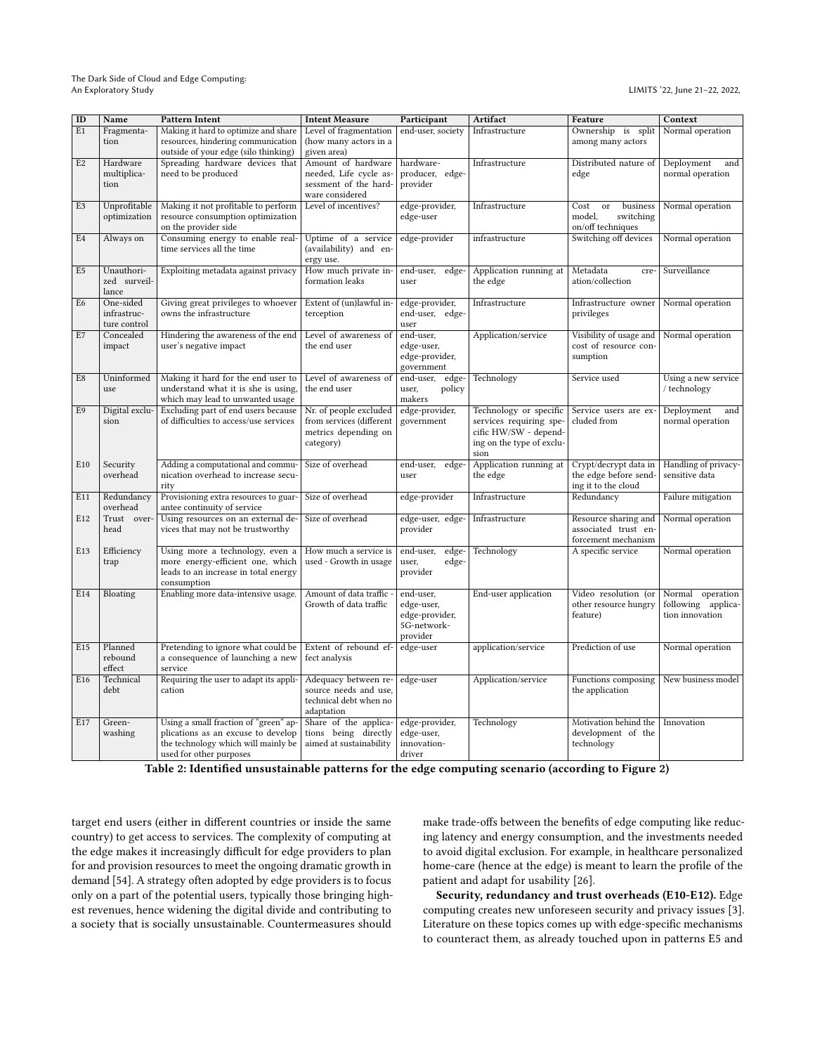The Dark Side of Cloud and Edge Computing: An Exploratory Study LIMITS '22, June 21–22, 2022,

<span id="page-6-0"></span>

| ID             | Name                                     | <b>Pattern Intent</b>                                                                                                                         | <b>Intent Measure</b>                                                                    | Participant                                                          | Artifact                                                                                                        | Feature                                                               | Context                                                   |
|----------------|------------------------------------------|-----------------------------------------------------------------------------------------------------------------------------------------------|------------------------------------------------------------------------------------------|----------------------------------------------------------------------|-----------------------------------------------------------------------------------------------------------------|-----------------------------------------------------------------------|-----------------------------------------------------------|
| E1             | Fragmenta-<br>tion                       | Making it hard to optimize and share<br>resources, hindering communication<br>outside of your edge (silo thinking)                            | Level of fragmentation<br>(how many actors in a<br>given area)                           | end-user, society                                                    | Infrastructure                                                                                                  | Ownership is split<br>among many actors                               | Normal operation                                          |
| E <sub>2</sub> | Hardware<br>multiplica-<br>tion          | Spreading hardware devices that<br>need to be produced                                                                                        | Amount of hardware<br>needed, Life cycle as-<br>sessment of the hard-<br>ware considered | hardware-<br>producer, edge-<br>provider                             | Infrastructure                                                                                                  | Distributed nature of<br>edge                                         | Deployment<br>and<br>normal operation                     |
| E <sub>3</sub> | Unprofitable<br>optimization             | Making it not profitable to perform<br>resource consumption optimization<br>on the provider side                                              | Level of incentives?                                                                     | edge-provider,<br>edge-user                                          | Infrastructure                                                                                                  | business<br>Cost<br>or<br>model,<br>switching<br>on/off techniques    | Normal operation                                          |
| E4             | Always on                                | Consuming energy to enable real-<br>time services all the time                                                                                | Uptime of a service<br>(availability) and en-<br>ergy use.                               | edge-provider                                                        | infrastructure                                                                                                  | Switching off devices                                                 | Normal operation                                          |
| E5             | Unauthori-<br>zed surveil-<br>lance      | Exploiting metadata against privacy                                                                                                           | How much private in-<br>formation leaks                                                  | end-user,<br>edge-<br>user                                           | Application running at<br>the edge                                                                              | Metadata<br>cre-<br>ation/collection                                  | Surveillance                                              |
| E6             | One-sided<br>infrastruc-<br>ture control | Giving great privileges to whoever<br>owns the infrastructure                                                                                 | Extent of (un)lawful in-<br>terception                                                   | edge-provider,<br>end-user, edge-<br>user                            | Infrastructure                                                                                                  | Infrastructure owner<br>privileges                                    | Normal operation                                          |
| E7             | Concealed<br>impact                      | Hindering the awareness of the end<br>user's negative impact                                                                                  | Level of awareness of<br>the end user                                                    | end-user,<br>edge-user,<br>edge-provider,<br>government              | Application/service                                                                                             | Visibility of usage and<br>cost of resource con-<br>sumption          | Normal operation                                          |
| E8             | Uninformed<br>use                        | Making it hard for the end user to<br>understand what it is she is using,<br>which may lead to unwanted usage                                 | Level of awareness of<br>the end user                                                    | end-user, edge-<br>user,<br>policy<br>makers                         | Technology                                                                                                      | Service used                                                          | Using a new service<br>/ technology                       |
| E9             | Digital exclu-<br>sion                   | Excluding part of end users because<br>of difficulties to access/use services                                                                 | Nr. of people excluded<br>from services (different<br>metrics depending on<br>category)  | edge-provider,<br>government                                         | Technology or specific<br>services requiring spe-<br>cific HW/SW - depend-<br>ing on the type of exclu-<br>sion | Service users are ex-<br>cluded from                                  | Deployment<br>and<br>normal operation                     |
| E10            | Security<br>overhead                     | Adding a computational and commu-<br>nication overhead to increase secu-<br>rity                                                              | Size of overhead                                                                         | end-user,<br>edge-<br>user                                           | Application running at<br>the edge                                                                              | Crypt/decrypt data in<br>the edge before send-<br>ing it to the cloud | Handling of privacy-<br>sensitive data                    |
| E11            | Redundancy<br>overhead                   | Provisioning extra resources to guar-<br>antee continuity of service                                                                          | Size of overhead                                                                         | edge-provider                                                        | Infrastructure                                                                                                  | Redundancy                                                            | Failure mitigation                                        |
| E12            | Trust<br>over-<br>head                   | Using resources on an external de-<br>vices that may not be trustworthy                                                                       | Size of overhead                                                                         | edge-user, edge-<br>provider                                         | Infrastructure                                                                                                  | Resource sharing and<br>associated trust en-<br>forcement mechanism   | Normal operation                                          |
| E13            | Efficiency<br>trap                       | Using more a technology, even a<br>more energy-efficient one, which<br>leads to an increase in total energy<br>consumption                    | How much a service is<br>used - Growth in usage                                          | edge-<br>end-user,<br>edge-<br>user,<br>provider                     | Technology                                                                                                      | A specific service                                                    | Normal operation                                          |
| E14            | Bloating                                 | Enabling more data-intensive usage.                                                                                                           | Amount of data traffic -<br>Growth of data traffic                                       | end-user,<br>edge-user,<br>edge-provider,<br>5G-network-<br>provider | End-user application                                                                                            | Video resolution (or<br>other resource hungry<br>feature)             | Normal operation<br>following applica-<br>tion innovation |
| E15            | Planned<br>rebound<br>effect             | Pretending to ignore what could be<br>a consequence of launching a new<br>service                                                             | Extent of rebound ef-<br>fect analysis                                                   | edge-user                                                            | application/service                                                                                             | Prediction of use                                                     | Normal operation                                          |
| E16            | Technical<br>debt                        | Requiring the user to adapt its appli-<br>cation                                                                                              | Adequacy between re-<br>source needs and use,<br>technical debt when no<br>adaptation    | edge-user                                                            | Application/service                                                                                             | Functions composing<br>the application                                | New business model                                        |
| E17            | Green-<br>washing                        | Using a small fraction of "green" ap-<br>plications as an excuse to develop<br>the technology which will mainly be<br>used for other purposes | Share of the applica-<br>tions being directly<br>aimed at sustainability                 | edge-provider,<br>edge-user,<br>innovation-<br>driver                | Technology                                                                                                      | Motivation behind the<br>development of the<br>technology             | Innovation                                                |

| Table 2: Identified unsustainable patterns for the edge computing scenario (according to Figure 2) |  |  |
|----------------------------------------------------------------------------------------------------|--|--|
|                                                                                                    |  |  |

target end users (either in different countries or inside the same country) to get access to services. The complexity of computing at the edge makes it increasingly difficult for edge providers to plan for and provision resources to meet the ongoing dramatic growth in demand [\[54\]](#page-10-35). A strategy often adopted by edge providers is to focus only on a part of the potential users, typically those bringing highest revenues, hence widening the digital divide and contributing to a society that is socially unsustainable. Countermeasures should

make trade-offs between the benefits of edge computing like reducing latency and energy consumption, and the investments needed to avoid digital exclusion. For example, in healthcare personalized home-care (hence at the edge) is meant to learn the profile of the patient and adapt for usability [\[26\]](#page-10-36).

Security, redundancy and trust overheads (E10-E12). Edge computing creates new unforeseen security and privacy issues [\[3\]](#page-9-5). Literature on these topics comes up with edge-specific mechanisms to counteract them, as already touched upon in patterns E5 and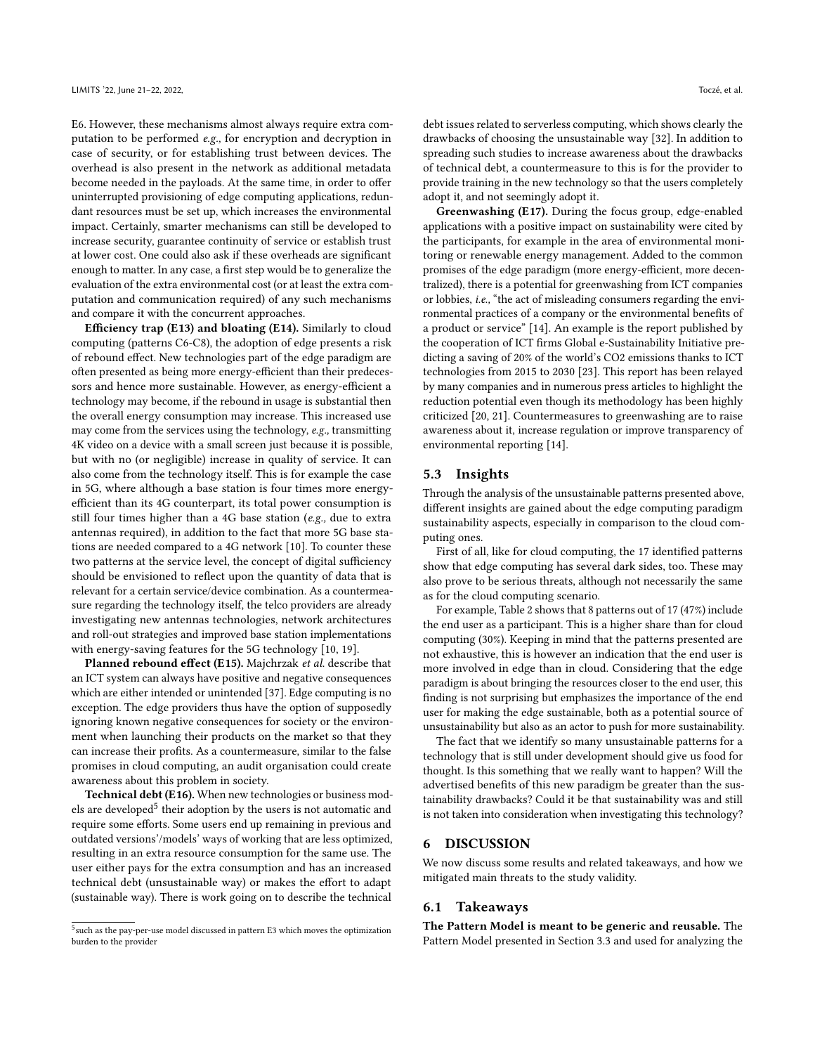E6. However, these mechanisms almost always require extra computation to be performed e.g., for encryption and decryption in case of security, or for establishing trust between devices. The overhead is also present in the network as additional metadata become needed in the payloads. At the same time, in order to offer uninterrupted provisioning of edge computing applications, redundant resources must be set up, which increases the environmental impact. Certainly, smarter mechanisms can still be developed to increase security, guarantee continuity of service or establish trust at lower cost. One could also ask if these overheads are significant enough to matter. In any case, a first step would be to generalize the evaluation of the extra environmental cost (or at least the extra computation and communication required) of any such mechanisms and compare it with the concurrent approaches.

Efficiency trap (E13) and bloating (E14). Similarly to cloud computing (patterns C6-C8), the adoption of edge presents a risk of rebound effect. New technologies part of the edge paradigm are often presented as being more energy-efficient than their predecessors and hence more sustainable. However, as energy-efficient a technology may become, if the rebound in usage is substantial then the overall energy consumption may increase. This increased use may come from the services using the technology, e.g., transmitting 4K video on a device with a small screen just because it is possible, but with no (or negligible) increase in quality of service. It can also come from the technology itself. This is for example the case in 5G, where although a base station is four times more energyefficient than its 4G counterpart, its total power consumption is still four times higher than a 4G base station (e.g., due to extra antennas required), in addition to the fact that more 5G base stations are needed compared to a 4G network [\[10\]](#page-10-37). To counter these two patterns at the service level, the concept of digital sufficiency should be envisioned to reflect upon the quantity of data that is relevant for a certain service/device combination. As a countermeasure regarding the technology itself, the telco providers are already investigating new antennas technologies, network architectures and roll-out strategies and improved base station implementations with energy-saving features for the 5G technology [\[10,](#page-10-37) [19\]](#page-10-38).

Planned rebound effect (E15). Majchrzak et al. describe that an ICT system can always have positive and negative consequences which are either intended or unintended [\[37\]](#page-10-39). Edge computing is no exception. The edge providers thus have the option of supposedly ignoring known negative consequences for society or the environment when launching their products on the market so that they can increase their profits. As a countermeasure, similar to the false promises in cloud computing, an audit organisation could create awareness about this problem in society.

Technical debt (E16). When new technologies or business mod-els are developed<sup>[5](#page-7-1)</sup> their adoption by the users is not automatic and require some efforts. Some users end up remaining in previous and outdated versions'/models' ways of working that are less optimized, resulting in an extra resource consumption for the same use. The user either pays for the extra consumption and has an increased technical debt (unsustainable way) or makes the effort to adapt (sustainable way). There is work going on to describe the technical

debt issues related to serverless computing, which shows clearly the drawbacks of choosing the unsustainable way [\[32\]](#page-10-40). In addition to spreading such studies to increase awareness about the drawbacks of technical debt, a countermeasure to this is for the provider to provide training in the new technology so that the users completely adopt it, and not seemingly adopt it.

Greenwashing (E17). During the focus group, edge-enabled applications with a positive impact on sustainability were cited by the participants, for example in the area of environmental monitoring or renewable energy management. Added to the common promises of the edge paradigm (more energy-efficient, more decentralized), there is a potential for greenwashing from ICT companies or lobbies, i.e., "the act of misleading consumers regarding the environmental practices of a company or the environmental benefits of a product or service" [\[14\]](#page-10-41). An example is the report published by the cooperation of ICT firms Global e-Sustainability Initiative predicting a saving of 20% of the world's CO2 emissions thanks to ICT technologies from 2015 to 2030 [\[23\]](#page-10-42). This report has been relayed by many companies and in numerous press articles to highlight the reduction potential even though its methodology has been highly criticized [\[20,](#page-10-43) [21\]](#page-10-23). Countermeasures to greenwashing are to raise awareness about it, increase regulation or improve transparency of environmental reporting [\[14\]](#page-10-41).

## 5.3 Insights

Through the analysis of the unsustainable patterns presented above, different insights are gained about the edge computing paradigm sustainability aspects, especially in comparison to the cloud computing ones.

First of all, like for cloud computing, the 17 identified patterns show that edge computing has several dark sides, too. These may also prove to be serious threats, although not necessarily the same as for the cloud computing scenario.

For example, Table [2](#page-6-0) shows that 8 patterns out of 17 (47%) include the end user as a participant. This is a higher share than for cloud computing (30%). Keeping in mind that the patterns presented are not exhaustive, this is however an indication that the end user is more involved in edge than in cloud. Considering that the edge paradigm is about bringing the resources closer to the end user, this finding is not surprising but emphasizes the importance of the end user for making the edge sustainable, both as a potential source of unsustainability but also as an actor to push for more sustainability.

The fact that we identify so many unsustainable patterns for a technology that is still under development should give us food for thought. Is this something that we really want to happen? Will the advertised benefits of this new paradigm be greater than the sustainability drawbacks? Could it be that sustainability was and still is not taken into consideration when investigating this technology?

#### <span id="page-7-0"></span>6 DISCUSSION

We now discuss some results and related takeaways, and how we mitigated main threats to the study validity.

## 6.1 Takeaways

The Pattern Model is meant to be generic and reusable. The Pattern Model presented in Section [3.3](#page-2-1) and used for analyzing the

<span id="page-7-1"></span><sup>&</sup>lt;sup>5</sup> such as the pay-per-use model discussed in pattern E3 which moves the optimization burden to the provider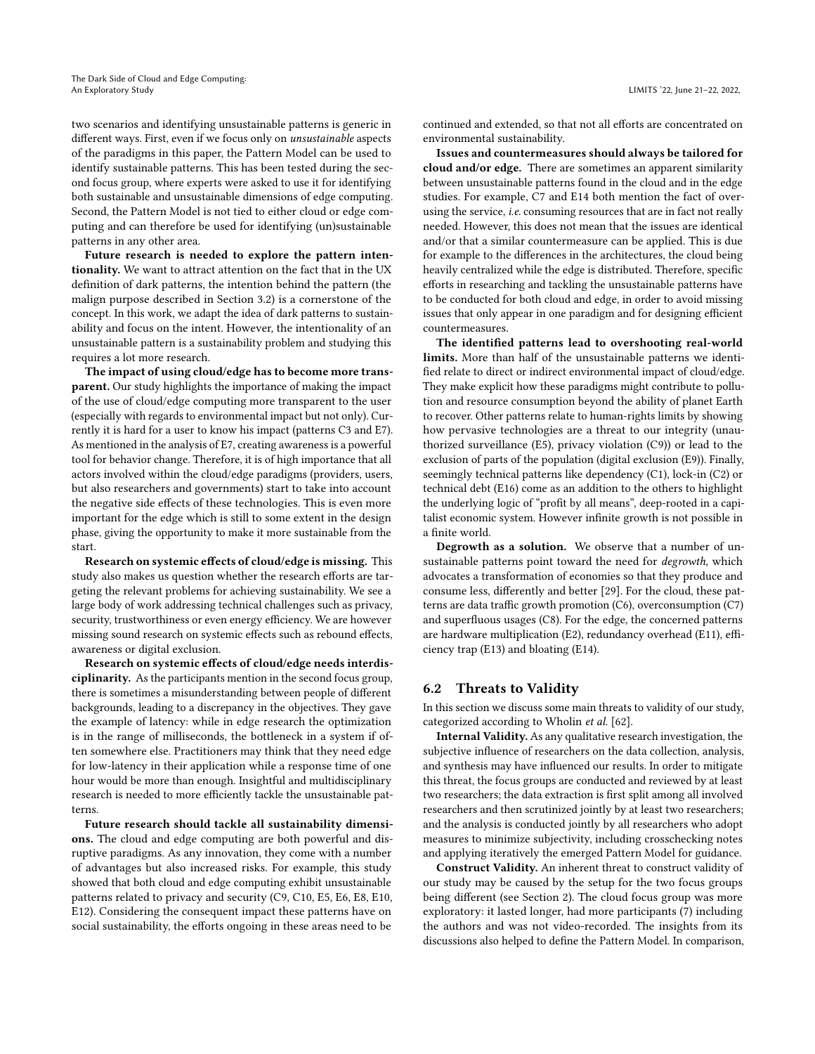two scenarios and identifying unsustainable patterns is generic in different ways. First, even if we focus only on unsustainable aspects of the paradigms in this paper, the Pattern Model can be used to identify sustainable patterns. This has been tested during the second focus group, where experts were asked to use it for identifying both sustainable and unsustainable dimensions of edge computing. Second, the Pattern Model is not tied to either cloud or edge computing and can therefore be used for identifying (un)sustainable patterns in any other area.

Future research is needed to explore the pattern intentionality. We want to attract attention on the fact that in the UX definition of dark patterns, the intention behind the pattern (the malign purpose described in Section [3.2\)](#page-2-3) is a cornerstone of the concept. In this work, we adapt the idea of dark patterns to sustainability and focus on the intent. However, the intentionality of an unsustainable pattern is a sustainability problem and studying this requires a lot more research.

The impact of using cloud/edge has to become more transparent. Our study highlights the importance of making the impact of the use of cloud/edge computing more transparent to the user (especially with regards to environmental impact but not only). Currently it is hard for a user to know his impact (patterns C3 and E7). As mentioned in the analysis of E7, creating awareness is a powerful tool for behavior change. Therefore, it is of high importance that all actors involved within the cloud/edge paradigms (providers, users, but also researchers and governments) start to take into account the negative side effects of these technologies. This is even more important for the edge which is still to some extent in the design phase, giving the opportunity to make it more sustainable from the start.

Research on systemic effects of cloud/edge is missing. This study also makes us question whether the research efforts are targeting the relevant problems for achieving sustainability. We see a large body of work addressing technical challenges such as privacy, security, trustworthiness or even energy efficiency. We are however missing sound research on systemic effects such as rebound effects, awareness or digital exclusion.

Research on systemic effects of cloud/edge needs interdisciplinarity. As the participants mention in the second focus group, there is sometimes a misunderstanding between people of different backgrounds, leading to a discrepancy in the objectives. They gave the example of latency: while in edge research the optimization is in the range of milliseconds, the bottleneck in a system if often somewhere else. Practitioners may think that they need edge for low-latency in their application while a response time of one hour would be more than enough. Insightful and multidisciplinary research is needed to more efficiently tackle the unsustainable patterns.

Future research should tackle all sustainability dimensions. The cloud and edge computing are both powerful and disruptive paradigms. As any innovation, they come with a number of advantages but also increased risks. For example, this study showed that both cloud and edge computing exhibit unsustainable patterns related to privacy and security (C9, C10, E5, E6, E8, E10, E12). Considering the consequent impact these patterns have on social sustainability, the efforts ongoing in these areas need to be

continued and extended, so that not all efforts are concentrated on environmental sustainability.

Issues and countermeasures should always be tailored for cloud and/or edge. There are sometimes an apparent similarity between unsustainable patterns found in the cloud and in the edge studies. For example, C7 and E14 both mention the fact of overusing the service, i.e. consuming resources that are in fact not really needed. However, this does not mean that the issues are identical and/or that a similar countermeasure can be applied. This is due for example to the differences in the architectures, the cloud being heavily centralized while the edge is distributed. Therefore, specific efforts in researching and tackling the unsustainable patterns have to be conducted for both cloud and edge, in order to avoid missing issues that only appear in one paradigm and for designing efficient countermeasures.

The identified patterns lead to overshooting real-world limits. More than half of the unsustainable patterns we identified relate to direct or indirect environmental impact of cloud/edge. They make explicit how these paradigms might contribute to pollution and resource consumption beyond the ability of planet Earth to recover. Other patterns relate to human-rights limits by showing how pervasive technologies are a threat to our integrity (unauthorized surveillance (E5), privacy violation (C9)) or lead to the exclusion of parts of the population (digital exclusion (E9)). Finally, seemingly technical patterns like dependency (C1), lock-in (C2) or technical debt (E16) come as an addition to the others to highlight the underlying logic of "profit by all means", deep-rooted in a capitalist economic system. However infinite growth is not possible in a finite world.

Degrowth as a solution. We observe that a number of unsustainable patterns point toward the need for degrowth, which advocates a transformation of economies so that they produce and consume less, differently and better [\[29\]](#page-10-44). For the cloud, these patterns are data traffic growth promotion (C6), overconsumption (C7) and superfluous usages (C8). For the edge, the concerned patterns are hardware multiplication (E2), redundancy overhead (E11), efficiency trap (E13) and bloating (E14).

## 6.2 Threats to Validity

In this section we discuss some main threats to validity of our study, categorized according to Wholin et al. [\[62\]](#page-11-5).

Internal Validity. As any qualitative research investigation, the subjective influence of researchers on the data collection, analysis, and synthesis may have influenced our results. In order to mitigate this threat, the focus groups are conducted and reviewed by at least two researchers; the data extraction is first split among all involved researchers and then scrutinized jointly by at least two researchers; and the analysis is conducted jointly by all researchers who adopt measures to minimize subjectivity, including crosschecking notes and applying iteratively the emerged Pattern Model for guidance.

Construct Validity. An inherent threat to construct validity of our study may be caused by the setup for the two focus groups being different (see Section [2\)](#page-1-0). The cloud focus group was more exploratory: it lasted longer, had more participants (7) including the authors and was not video-recorded. The insights from its discussions also helped to define the Pattern Model. In comparison,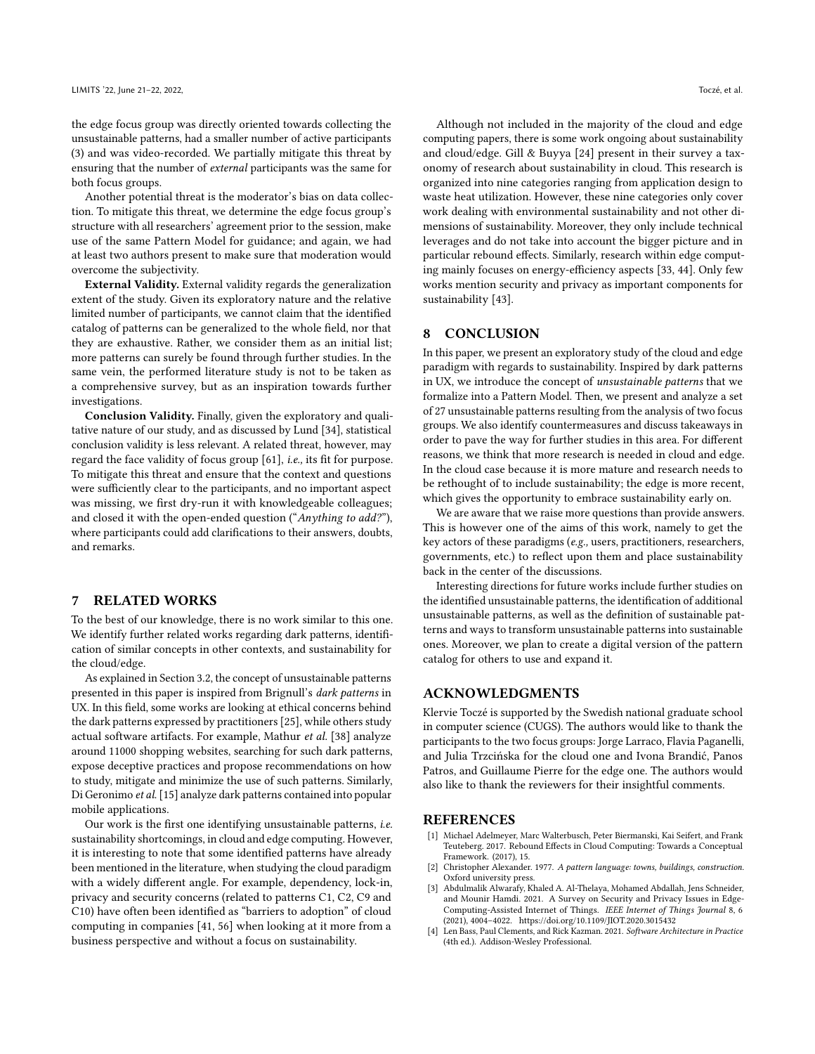the edge focus group was directly oriented towards collecting the unsustainable patterns, had a smaller number of active participants (3) and was video-recorded. We partially mitigate this threat by ensuring that the number of external participants was the same for both focus groups.

Another potential threat is the moderator's bias on data collection. To mitigate this threat, we determine the edge focus group's structure with all researchers' agreement prior to the session, make use of the same Pattern Model for guidance; and again, we had at least two authors present to make sure that moderation would overcome the subjectivity.

External Validity. External validity regards the generalization extent of the study. Given its exploratory nature and the relative limited number of participants, we cannot claim that the identified catalog of patterns can be generalized to the whole field, nor that they are exhaustive. Rather, we consider them as an initial list; more patterns can surely be found through further studies. In the same vein, the performed literature study is not to be taken as a comprehensive survey, but as an inspiration towards further investigations.

Conclusion Validity. Finally, given the exploratory and qualitative nature of our study, and as discussed by Lund [\[34\]](#page-10-45), statistical conclusion validity is less relevant. A related threat, however, may regard the face validity of focus group [\[61\]](#page-11-6), i.e., its fit for purpose. To mitigate this threat and ensure that the context and questions were sufficiently clear to the participants, and no important aspect was missing, we first dry-run it with knowledgeable colleagues; and closed it with the open-ended question ("Anything to add?"), where participants could add clarifications to their answers, doubts, and remarks.

# <span id="page-9-0"></span>7 RELATED WORKS

To the best of our knowledge, there is no work similar to this one. We identify further related works regarding dark patterns, identification of similar concepts in other contexts, and sustainability for the cloud/edge.

As explained in Section [3.2,](#page-2-3) the concept of unsustainable patterns presented in this paper is inspired from Brignull's dark patterns in UX. In this field, some works are looking at ethical concerns behind the dark patterns expressed by practitioners [\[25\]](#page-10-6), while others study actual software artifacts. For example, Mathur et al. [\[38\]](#page-10-7) analyze around 11000 shopping websites, searching for such dark patterns, expose deceptive practices and propose recommendations on how to study, mitigate and minimize the use of such patterns. Similarly, Di Geronimo et al. [\[15\]](#page-10-5) analyze dark patterns contained into popular mobile applications.

Our work is the first one identifying unsustainable patterns, i.e. sustainability shortcomings, in cloud and edge computing. However, it is interesting to note that some identified patterns have already been mentioned in the literature, when studying the cloud paradigm with a widely different angle. For example, dependency, lock-in, privacy and security concerns (related to patterns C1, C2, C9 and C10) have often been identified as "barriers to adoption" of cloud computing in companies [\[41,](#page-10-10) [56\]](#page-11-7) when looking at it more from a business perspective and without a focus on sustainability.

Although not included in the majority of the cloud and edge computing papers, there is some work ongoing about sustainability and cloud/edge. Gill & Buyya [\[24\]](#page-10-46) present in their survey a taxonomy of research about sustainability in cloud. This research is organized into nine categories ranging from application design to waste heat utilization. However, these nine categories only cover work dealing with environmental sustainability and not other dimensions of sustainability. Moreover, they only include technical leverages and do not take into account the bigger picture and in particular rebound effects. Similarly, research within edge computing mainly focuses on energy-efficiency aspects [\[33,](#page-10-47) [44\]](#page-10-48). Only few works mention security and privacy as important components for sustainability [\[43\]](#page-10-49).

## <span id="page-9-1"></span>8 CONCLUSION

In this paper, we present an exploratory study of the cloud and edge paradigm with regards to sustainability. Inspired by dark patterns in UX, we introduce the concept of unsustainable patterns that we formalize into a Pattern Model. Then, we present and analyze a set of 27 unsustainable patterns resulting from the analysis of two focus groups. We also identify countermeasures and discuss takeaways in order to pave the way for further studies in this area. For different reasons, we think that more research is needed in cloud and edge. In the cloud case because it is more mature and research needs to be rethought of to include sustainability; the edge is more recent, which gives the opportunity to embrace sustainability early on.

We are aware that we raise more questions than provide answers. This is however one of the aims of this work, namely to get the key actors of these paradigms (e.g., users, practitioners, researchers, governments, etc.) to reflect upon them and place sustainability back in the center of the discussions.

Interesting directions for future works include further studies on the identified unsustainable patterns, the identification of additional unsustainable patterns, as well as the definition of sustainable patterns and ways to transform unsustainable patterns into sustainable ones. Moreover, we plan to create a digital version of the pattern catalog for others to use and expand it.

#### ACKNOWLEDGMENTS

Klervie Toczé is supported by the Swedish national graduate school in computer science (CUGS). The authors would like to thank the participants to the two focus groups: Jorge Larraco, Flavia Paganelli, and Julia Trzcińska for the cloud one and Ivona Brandić, Panos Patros, and Guillaume Pierre for the edge one. The authors would also like to thank the reviewers for their insightful comments.

#### **REFERENCES**

- <span id="page-9-4"></span>[1] Michael Adelmeyer, Marc Walterbusch, Peter Biermanski, Kai Seifert, and Frank Teuteberg. 2017. Rebound Effects in Cloud Computing: Towards a Conceptual Framework. (2017), 15.
- <span id="page-9-2"></span>[2] Christopher Alexander. 1977. A pattern language: towns, buildings, construction. Oxford university press.
- <span id="page-9-5"></span>[3] Abdulmalik Alwarafy, Khaled A. Al-Thelaya, Mohamed Abdallah, Jens Schneider, and Mounir Hamdi. 2021. A Survey on Security and Privacy Issues in Edge-Computing-Assisted Internet of Things. IEEE Internet of Things Journal 8, 6 (2021), 4004–4022.<https://doi.org/10.1109/JIOT.2020.3015432>
- <span id="page-9-3"></span>[4] Len Bass, Paul Clements, and Rick Kazman. 2021. Software Architecture in Practice (4th ed.). Addison-Wesley Professional.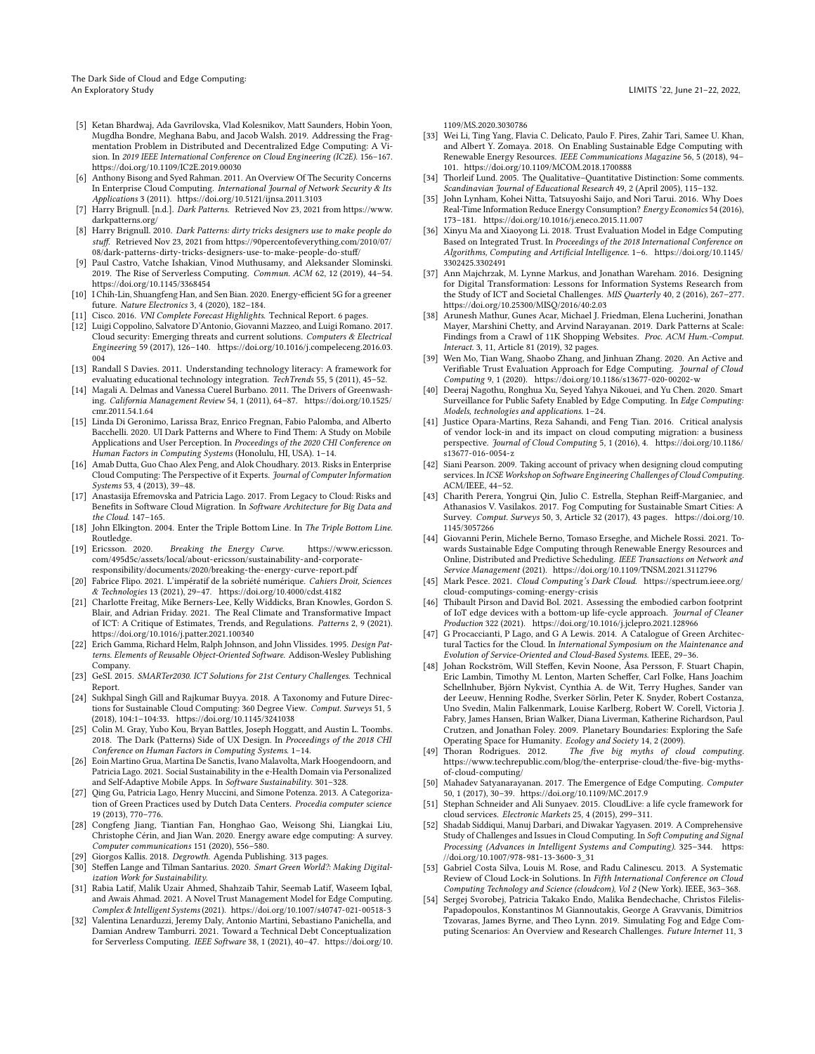The Dark Side of Cloud and Edge Computing: An Exploratory Study LIMITS '22, June 21–22, 2022,

- <span id="page-10-25"></span>[5] Ketan Bhardwaj, Ada Gavrilovska, Vlad Kolesnikov, Matt Saunders, Hobin Yoon, Mugdha Bondre, Meghana Babu, and Jacob Walsh. 2019. Addressing the Fragmentation Problem in Distributed and Decentralized Edge Computing: A Vision. In 2019 IEEE International Conference on Cloud Engineering (IC2E). 156–167. <https://doi.org/10.1109/IC2E.2019.00030>
- <span id="page-10-21"></span>[6] Anthony Bisong and Syed Rahman. 2011. An Overview Of The Security Concerns In Enterprise Cloud Computing. International Journal of Network Security & Its Applications 3 (2011).<https://doi.org/10.5121/ijnsa.2011.3103>
- <span id="page-10-4"></span>[7] Harry Brignull. [n.d.]. Dark Patterns. Retrieved Nov 23, 2021 from [https://www.](https://www.darkpatterns.org/) [darkpatterns.org/](https://www.darkpatterns.org/)
- <span id="page-10-3"></span>[8] Harry Brignull. 2010. Dark Patterns: dirty tricks designers use to make people do stuff. Retrieved Nov 23, 2021 from [https://90percentofeverything.com/2010/07/](https://90percentofeverything.com/2010/07/08/dark-patterns-dirty-tricks-designers-use-to-make-people-do-stuff/) [08/dark-patterns-dirty-tricks-designers-use-to-make-people-do-stuff/](https://90percentofeverything.com/2010/07/08/dark-patterns-dirty-tricks-designers-use-to-make-people-do-stuff/)
- <span id="page-10-27"></span>[9] Paul Castro, Vatche Ishakian, Vinod Muthusamy, and Aleksander Slominski. 2019. The Rise of Serverless Computing. Commun. ACM 62, 12 (2019), 44–54. <https://doi.org/10.1145/3368454>
- <span id="page-10-37"></span>[10] I Chih-Lin, Shuangfeng Han, and Sen Bian. 2020. Energy-efficient 5G for a greener future. Nature Electronics 3, 4 (2020), 182–184.
- <span id="page-10-18"></span>[11] Cisco. 2016. VNI Complete Forecast Highlights. Technical Report. 6 pages.
- <span id="page-10-22"></span>[12] Luigi Coppolino, Salvatore D'Antonio, Giovanni Mazzeo, and Luigi Romano. 2017. Cloud security: Emerging threats and current solutions. Computers & Electrical Engineering 59 (2017), 126–140. [https://doi.org/10.1016/j.compeleceng.2016.03.](https://doi.org/10.1016/j.compeleceng.2016.03.004) [004](https://doi.org/10.1016/j.compeleceng.2016.03.004)
- <span id="page-10-34"></span>[13] Randall S Davies. 2011. Understanding technology literacy: A framework for evaluating educational technology integration. TechTrends 55, 5 (2011), 45–52.
- <span id="page-10-41"></span>[14] Magali A. Delmas and Vanessa Cuerel Burbano. 2011. The Drivers of Greenwashing. California Management Review 54, 1 (2011), 64–87. [https://doi.org/10.1525/](https://doi.org/10.1525/cmr.2011.54.1.64) [cmr.2011.54.1.64](https://doi.org/10.1525/cmr.2011.54.1.64)
- <span id="page-10-5"></span>[15] Linda Di Geronimo, Larissa Braz, Enrico Fregnan, Fabio Palomba, and Alberto Bacchelli. 2020. UI Dark Patterns and Where to Find Them: A Study on Mobile Applications and User Perception. In Proceedings of the 2020 CHI Conference on Human Factors in Computing Systems (Honolulu, HI, USA). 1–14.
- <span id="page-10-8"></span>[16] Amab Dutta, Guo Chao Alex Peng, and Alok Choudhary. 2013. Risks in Enterprise Cloud Computing: The Perspective of it Experts. Journal of Computer Information Systems 53, 4 (2013), 39–48.
- <span id="page-10-16"></span>[17] Anastasija Efremovska and Patricia Lago. 2017. From Legacy to Cloud: Risks and Benefits in Software Cloud Migration. In Software Architecture for Big Data and the Cloud. 147–165.
- <span id="page-10-1"></span>[18] John Elkington. 2004. Enter the Triple Bottom Line. In The Triple Bottom Line. Routledge.<br>[19] Ericsson. 2020.
- <span id="page-10-38"></span>Breaking the Energy Curve. [https://www.ericsson.](https://www.ericsson.com/495d5c/assets/local/about-ericsson/sustainability-and-corporate-responsibility/documents/2020/breaking-the-energy-curve-report.pdf) [com/495d5c/assets/local/about-ericsson/sustainability-and-corporate](https://www.ericsson.com/495d5c/assets/local/about-ericsson/sustainability-and-corporate-responsibility/documents/2020/breaking-the-energy-curve-report.pdf)[responsibility/documents/2020/breaking-the-energy-curve-report.pdf](https://www.ericsson.com/495d5c/assets/local/about-ericsson/sustainability-and-corporate-responsibility/documents/2020/breaking-the-energy-curve-report.pdf)
- <span id="page-10-43"></span>[20] Fabrice Flipo. 2021. L'impératif de la sobriété numérique. Cahiers Droit, Sciences & Technologies 13 (2021), 29–47.<https://doi.org/10.4000/cdst.4182>
- <span id="page-10-23"></span>[21] Charlotte Freitag, Mike Berners-Lee, Kelly Widdicks, Bran Knowles, Gordon S. Blair, and Adrian Friday. 2021. The Real Climate and Transformative Impact of ICT: A Critique of Estimates, Trends, and Regulations. Patterns 2, 9 (2021). <https://doi.org/10.1016/j.patter.2021.100340>
- <span id="page-10-2"></span>[22] Erich Gamma, Richard Helm, Ralph Johnson, and John Vlissides. 1995. Design Patterns. Elements of Reusable Object-Oriented Software. Addison-Wesley Publishing Company.
- <span id="page-10-42"></span>[23] GeSI. 2015. SMARTer2030. ICT Solutions for 21st Century Challenges. Technical Report.
- <span id="page-10-46"></span>[24] Sukhpal Singh Gill and Rajkumar Buyya. 2018. A Taxonomy and Future Directions for Sustainable Cloud Computing: 360 Degree View. Comput. Surveys 51, 5 (2018), 104:1–104:33.<https://doi.org/10.1145/3241038>
- <span id="page-10-6"></span>[25] Colin M. Gray, Yubo Kou, Bryan Battles, Joseph Hoggatt, and Austin L. Toombs. 2018. The Dark (Patterns) Side of UX Design. In Proceedings of the 2018 CHI Conference on Human Factors in Computing Systems. 1–14.
- <span id="page-10-36"></span>[26] Eoin Martino Grua, Martina De Sanctis, Ivano Malavolta, Mark Hoogendoorn, and Patricia Lago. 2021. Social Sustainability in the e-Health Domain via Personalized and Self-Adaptive Mobile Apps. In Software Sustainability. 301–328.
- <span id="page-10-15"></span>[27] Qing Gu, Patricia Lago, Henry Muccini, and Simone Potenza. 2013. A Categorization of Green Practices used by Dutch Data Centers. Procedia computer science 19 (2013), 770–776.
- <span id="page-10-33"></span>[28] Congfeng Jiang, Tiantian Fan, Honghao Gao, Weisong Shi, Liangkai Liu, Christophe Cérin, and Jian Wan. 2020. Energy aware edge computing: A survey. Computer communications 151 (2020), 556–580.
- <span id="page-10-44"></span>[29] Giorgos Kallis. 2018. Degrowth. Agenda Publishing. 313 pages.
- <span id="page-10-19"></span>[30] Steffen Lange and Tilman Santarius. 2020. Smart Green World?: Making Digitalization Work for Sustainability.
- <span id="page-10-31"></span>[31] Rabia Latif, Malik Uzair Ahmed, Shahzaib Tahir, Seemab Latif, Waseem Iqbal, and Awais Ahmad. 2021. A Novel Trust Management Model for Edge Computing. Complex & Intelligent Systems (2021).<https://doi.org/10.1007/s40747-021-00518-3>
- <span id="page-10-40"></span>[32] Valentina Lenarduzzi, Jeremy Daly, Antonio Martini, Sebastiano Panichella, and Damian Andrew Tamburri. 2021. Toward a Technical Debt Conceptualization for Serverless Computing. IEEE Software 38, 1 (2021), 40–47. [https://doi.org/10.](https://doi.org/10.1109/MS.2020.3030786)

[1109/MS.2020.3030786](https://doi.org/10.1109/MS.2020.3030786)

- <span id="page-10-47"></span>[33] Wei Li, Ting Yang, Flavia C. Delicato, Paulo F. Pires, Zahir Tari, Samee U. Khan, and Albert Y. Zomaya. 2018. On Enabling Sustainable Edge Computing with Renewable Energy Resources. IEEE Communications Magazine 56, 5 (2018), 94– 101.<https://doi.org/10.1109/MCOM.2018.1700888>
- <span id="page-10-45"></span>[34] Thorleif Lund. 2005. The Qualitative-Quantitative Distinction: Some comments. Scandinavian Journal of Educational Research 49, 2 (April 2005), 115–132.
- <span id="page-10-12"></span>[35] John Lynham, Kohei Nitta, Tatsuyoshi Saijo, and Nori Tarui. 2016. Why Does Real-Time Information Reduce Energy Consumption? Energy Economics 54 (2016), 173–181.<https://doi.org/10.1016/j.eneco.2015.11.007>
- <span id="page-10-30"></span>[36] Xinyu Ma and Xiaoyong Li. 2018. Trust Evaluation Model in Edge Computing Based on Integrated Trust. In Proceedings of the 2018 International Conference on Algorithms, Computing and Artificial Intelligence. 1–6. [https://doi.org/10.1145/](https://doi.org/10.1145/3302425.3302491) [3302425.3302491](https://doi.org/10.1145/3302425.3302491)
- <span id="page-10-39"></span>[37] Ann Majchrzak, M. Lynne Markus, and Jonathan Wareham. 2016. Designing for Digital Transformation: Lessons for Information Systems Research from the Study of ICT and Societal Challenges. MIS Quarterly 40, 2 (2016), 267-277. <https://doi.org/10.25300/MISQ/2016/40:2.03>
- <span id="page-10-7"></span>[38] Arunesh Mathur, Gunes Acar, Michael J. Friedman, Elena Lucherini, Jonathan Mayer, Marshini Chetty, and Arvind Narayanan. 2019. Dark Patterns at Scale: Findings from a Crawl of 11K Shopping Websites. Proc. ACM Hum.-Comput. Interact. 3, 11, Article 81 (2019), 32 pages.
- <span id="page-10-32"></span>[39] Wen Mo, Tian Wang, Shaobo Zhang, and Jinhuan Zhang. 2020. An Active and Verifiable Trust Evaluation Approach for Edge Computing. Journal of Cloud Computing 9, 1 (2020).<https://doi.org/10.1186/s13677-020-00202-w>
- <span id="page-10-29"></span>[40] Deeraj Nagothu, Ronghua Xu, Seyed Yahya Nikouei, and Yu Chen. 2020. Smart Surveillance for Public Safety Enabled by Edge Computing. In Edge Computing: Models, technologies and applications. 1–24.
- <span id="page-10-10"></span>[41] Justice Opara-Martins, Reza Sahandi, and Feng Tian. 2016. Critical analysis of vendor lock-in and its impact on cloud computing migration: a business perspective. Journal of Cloud Computing 5, 1 (2016), 4. [https://doi.org/10.1186/](https://doi.org/10.1186/s13677-016-0054-z) [s13677-016-0054-z](https://doi.org/10.1186/s13677-016-0054-z)
- <span id="page-10-20"></span>[42] Siani Pearson. 2009. Taking account of privacy when designing cloud computing services. In ICSE Workshop on Software Engineering Challenges of Cloud Computing. ACM/IEEE, 44–52.
- <span id="page-10-49"></span>[43] Charith Perera, Yongrui Qin, Julio C. Estrella, Stephan Reiff-Marganiec, and Athanasios V. Vasilakos. 2017. Fog Computing for Sustainable Smart Cities: A Survey. Comput. Surveys 50, 3, Article 32 (2017), 43 pages. [https://doi.org/10.](https://doi.org/10.1145/3057266) [1145/3057266](https://doi.org/10.1145/3057266)
- <span id="page-10-48"></span>[44] Giovanni Perin, Michele Berno, Tomaso Erseghe, and Michele Rossi. 2021. Towards Sustainable Edge Computing through Renewable Energy Resources and Online, Distributed and Predictive Scheduling. IEEE Transactions on Network and Service Management (2021).<https://doi.org/10.1109/TNSM.2021.3112796>
- <span id="page-10-13"></span>[45] Mark Pesce. 2021. Cloud Computing's Dark Cloud. [https://spectrum.ieee.org/](https://spectrum.ieee.org/cloud-computings-coming-energy-crisis) [cloud-computings-coming-energy-crisis](https://spectrum.ieee.org/cloud-computings-coming-energy-crisis)
- <span id="page-10-26"></span>[46] Thibault Pirson and David Bol. 2021. Assessing the embodied carbon footprint of IoT edge devices with a bottom-up life-cycle approach. Journal of Cleaner Production 322 (2021).<https://doi.org/10.1016/j.jclepro.2021.128966>
- <span id="page-10-28"></span>[47] G Procaccianti, P Lago, and G A Lewis. 2014. A Catalogue of Green Architectural Tactics for the Cloud. In International Symposium on the Maintenance and Evolution of Service-Oriented and Cloud-Based Systems. IEEE, 29–36.
- <span id="page-10-0"></span>[48] Johan Rockström, Will Steffen, Kevin Noone, Åsa Persson, F. Stuart Chapin, Eric Lambin, Timothy M. Lenton, Marten Scheffer, Carl Folke, Hans Joachim Schellnhuber, Björn Nykvist, Cynthia A. de Wit, Terry Hughes, Sander van der Leeuw, Henning Rodhe, Sverker Sörlin, Peter K. Snyder, Robert Costanza, Uno Svedin, Malin Falkenmark, Louise Karlberg, Robert W. Corell, Victoria J. Fabry, James Hansen, Brian Walker, Diana Liverman, Katherine Richardson, Paul Crutzen, and Jonathan Foley. 2009. Planetary Boundaries: Exploring the Safe Operating Space for Humanity. *Ecology and Society* 14, 2 (2009).<br>[49] Thoran Rodrigues. 2012. The five big myths of clo
- <span id="page-10-14"></span>The five big myths of cloud computing. [https://www.techrepublic.com/blog/the-enterprise-cloud/the-five-big-myths](https://www.techrepublic.com/blog/the-enterprise-cloud/the-five-big-myths-of-cloud-computing/)[of-cloud-computing/](https://www.techrepublic.com/blog/the-enterprise-cloud/the-five-big-myths-of-cloud-computing/)
- <span id="page-10-24"></span>[50] Mahadev Satyanarayanan. 2017. The Emergence of Edge Computing. Computer 50, 1 (2017), 30–39.<https://doi.org/10.1109/MC.2017.9>
- <span id="page-10-9"></span>[51] Stephan Schneider and Ali Sunyaev. 2015. CloudLive: a life cycle framework for cloud services. Electronic Markets 25, 4 (2015), 299–311.
- <span id="page-10-17"></span>[52] Shadab Siddiqui, Manuj Darbari, and Diwakar Yagyasen. 2019. A Comprehensive Study of Challenges and Issues in Cloud Computing. In Soft Computing and Signal Processing (Advances in Intelligent Systems and Computing). 325–344. [https:](https://doi.org/10.1007/978-981-13-3600-3_31) [//doi.org/10.1007/978-981-13-3600-3\\_31](https://doi.org/10.1007/978-981-13-3600-3_31)
- <span id="page-10-11"></span>[53] Gabriel Costa Silva, Louis M. Rose, and Radu Calinescu. 2013. A Systematic Review of Cloud Lock-in Solutions. In Fifth International Conference on Cloud Computing Technology and Science (cloudcom), Vol 2 (New York). IEEE, 363–368.
- <span id="page-10-35"></span>[54] Sergej Svorobej, Patricia Takako Endo, Malika Bendechache, Christos Filelis-Papadopoulos, Konstantinos M Giannoutakis, George A Gravvanis, Dimitrios Tzovaras, James Byrne, and Theo Lynn. 2019. Simulating Fog and Edge Computing Scenarios: An Overview and Research Challenges. Future Internet 11, 3